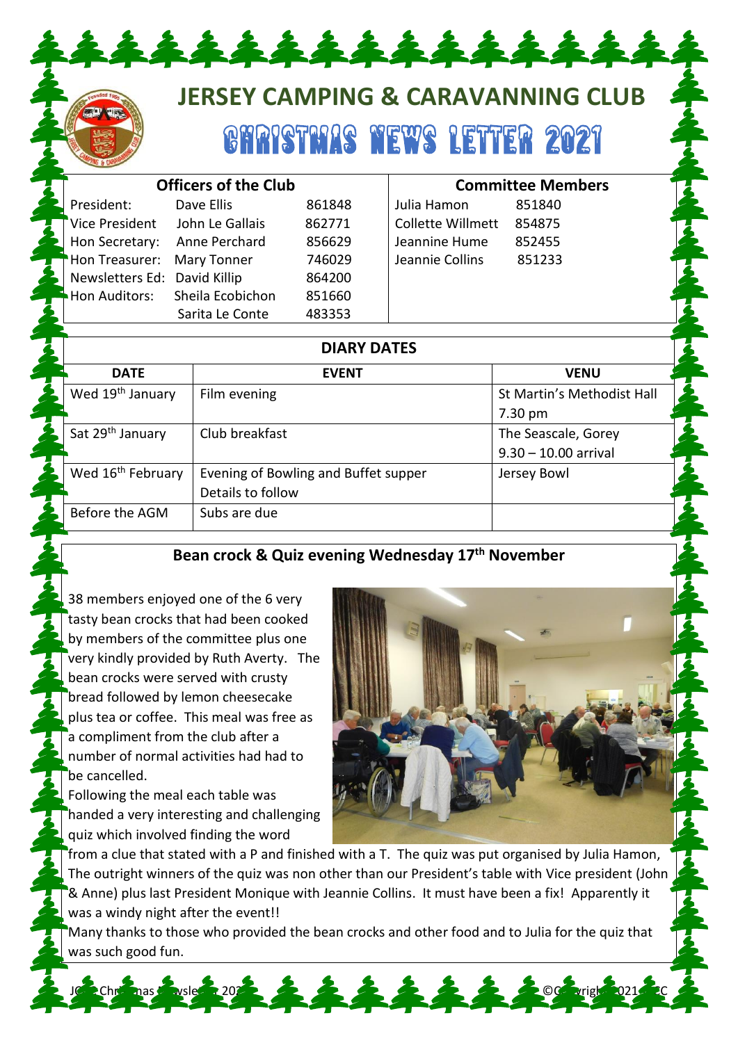# **JERSEY CAMPING & CARAVANNING CLUB**

GHRISTMAS NEWS LETTER 2021

| <b>Officers of the Club</b>  |                  |        |                          | <b>Committee Members</b> |  |
|------------------------------|------------------|--------|--------------------------|--------------------------|--|
| President:                   | Dave Ellis       | 861848 | Julia Hamon              | 851840                   |  |
| <b>Vice President</b>        | John Le Gallais  | 862771 | <b>Collette Willmett</b> | 854875                   |  |
| Hon Secretary:               | Anne Perchard    | 856629 | Jeannine Hume            | 852455                   |  |
| Hon Treasurer:               | Mary Tonner      | 746029 | Jeannie Collins          | 851233                   |  |
| Newsletters Ed: David Killip |                  | 864200 |                          |                          |  |
| Hon Auditors:                | Sheila Ecobichon | 851660 |                          |                          |  |
|                              | Sarita Le Conte  | 483353 |                          |                          |  |
|                              |                  |        |                          |                          |  |
| <b>DIARY DATES</b>           |                  |        |                          |                          |  |

\*\*\*\*\*\*\*\*\*\*\*

| <b>DATE</b>                   | <b>EVENT</b>                         | <b>VENU</b>                |  |  |
|-------------------------------|--------------------------------------|----------------------------|--|--|
| Wed 19 <sup>th</sup> January  | Film evening                         | St Martin's Methodist Hall |  |  |
|                               |                                      | $7.30 \text{ pm}$          |  |  |
| Sat 29 <sup>th</sup> January  | Club breakfast                       | The Seascale, Gorey        |  |  |
|                               |                                      | $9.30 - 10.00$ arrival     |  |  |
| Wed 16 <sup>th</sup> February | Evening of Bowling and Buffet supper | Jersey Bowl                |  |  |
|                               | Details to follow                    |                            |  |  |
| Before the AGM                | Subs are due                         |                            |  |  |

#### **Bean crock & Quiz evening Wednesday 17th November**

38 members enjoyed one of the 6 very tasty bean crocks that had been cooked by members of the committee plus one very kindly provided by Ruth Averty. The bean crocks were served with crusty bread followed by lemon cheesecake plus tea or coffee. This meal was free as a compliment from the club after a number of normal activities had had to be cancelled.

Following the meal each table was handed a very interesting and challenging quiz which involved finding the word



from a clue that stated with a P and finished with a T. The quiz was put organised by Julia Hamon, The outright winners of the quiz was non other than our President's table with Vice president (John & Anne) plus last President Monique with Jeannie Collins. It must have been a fix! Apparently it was a windy night after the event!!

Many thanks to those who provided the bean crocks and other food and to Julia for the quiz that was such good fun.

JC 2Chr<sup>.</sup> nast wslet 2021 2 Copyright 2021 20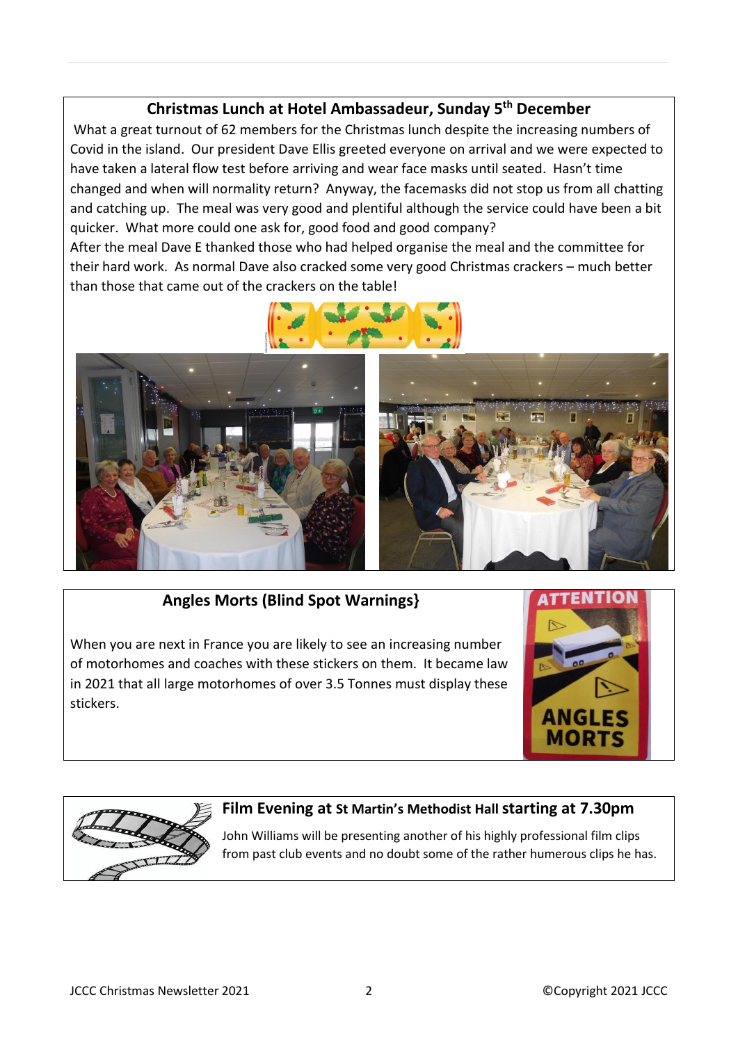## **Christmas Lunch at Hotel Ambassadeur, Sunday 5 th December**

What a great turnout of 62 members for the Christmas lunch despite the increasing numbers of Covid in the island. Our president Dave Ellis greeted everyone on arrival and we were expected to have taken a lateral flow test before arriving and wear face masks until seated. Hasn't time changed and when will normality return? Anyway, the facemasks did not stop us from all chatting and catching up. The meal was very good and plentiful although the service could have been a bit quicker. What more could one ask for, good food and good company?

After the meal Dave E thanked those who had helped organise the meal and the committee for their hard work. As normal Dave also cracked some very good Christmas crackers – much better than those that came out of the crackers on the table!





## **Angles Morts (Blind Spot Warnings}**

When you are next in France you are likely to see an increasing number of motorhomes and coaches with these stickers on them. It became law in 2021 that all large motorhomes of over 3.5 Tonnes must display these stickers.





#### **Film Evening at St Martin's Methodist Hallstarting at 7.30pm**

John Williams will be presenting another of his highly professional film clips from past club events and no doubt some of the rather humerous clips he has.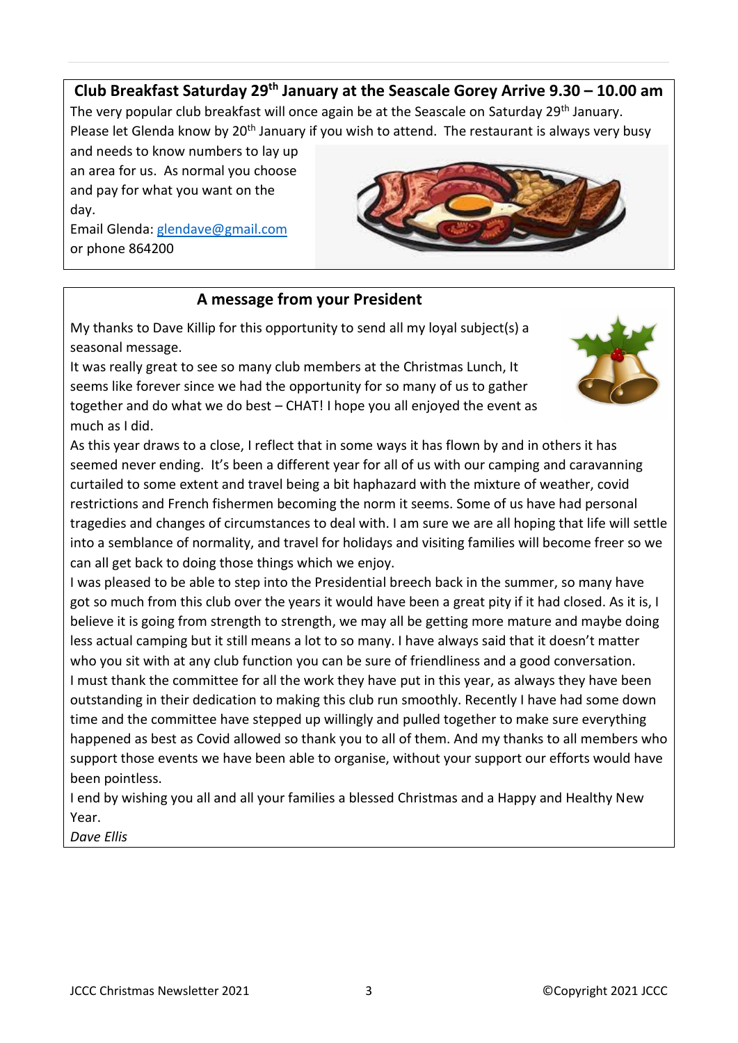## **Club Breakfast Saturday 29th January at the Seascale Gorey Arrive 9.30 – 10.00 am**

The very popular club breakfast will once again be at the Seascale on Saturday 29<sup>th</sup> January. Please let Glenda know by 20<sup>th</sup> January if you wish to attend. The restaurant is always very busy

and needs to know numbers to lay up an area for us. As normal you choose and pay for what you want on the day.

Email Glenda[: glendave@gmail.com](mailto:glendave@gmail.com) or phone 864200



### **A message from your President**

My thanks to Dave Killip for this opportunity to send all my loyal subject(s) a seasonal message.

It was really great to see so many club members at the Christmas Lunch, It seems like forever since we had the opportunity for so many of us to gather together and do what we do best – CHAT! I hope you all enjoyed the event as much as I did.



As this year draws to a close, I reflect that in some ways it has flown by and in others it has seemed never ending. It's been a different year for all of us with our camping and caravanning curtailed to some extent and travel being a bit haphazard with the mixture of weather, covid restrictions and French fishermen becoming the norm it seems. Some of us have had personal tragedies and changes of circumstances to deal with. I am sure we are all hoping that life will settle into a semblance of normality, and travel for holidays and visiting families will become freer so we can all get back to doing those things which we enjoy.

I was pleased to be able to step into the Presidential breech back in the summer, so many have got so much from this club over the years it would have been a great pity if it had closed. As it is, I believe it is going from strength to strength, we may all be getting more mature and maybe doing less actual camping but it still means a lot to so many. I have always said that it doesn't matter who you sit with at any club function you can be sure of friendliness and a good conversation. I must thank the committee for all the work they have put in this year, as always they have been outstanding in their dedication to making this club run smoothly. Recently I have had some down time and the committee have stepped up willingly and pulled together to make sure everything happened as best as Covid allowed so thank you to all of them. And my thanks to all members who support those events we have been able to organise, without your support our efforts would have been pointless.

I end by wishing you all and all your families a blessed Christmas and a Happy and Healthy New Year.

*Dave Ellis*